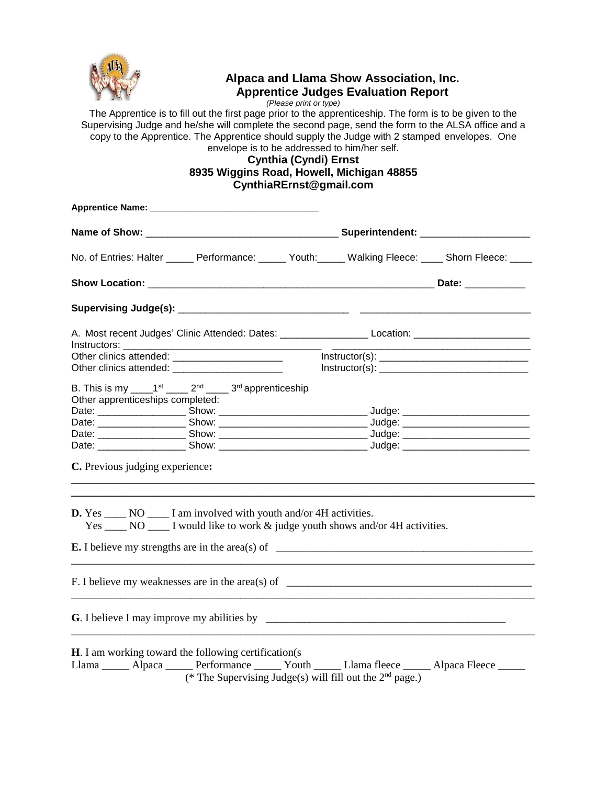

# **Alpaca and Llama Show Association, Inc. Apprentice Judges Evaluation Report**

*(Please print or type)*

The Apprentice is to fill out the first page prior to the apprenticeship. The form is to be given to the Supervising Judge and he/she will complete the second page, send the form to the ALSA office and a copy to the Apprentice. The Apprentice should supply the Judge with 2 stamped envelopes. One envelope is to be addressed to him/her self.

# **Cynthia (Cyndi) Ernst 8935 Wiggins Road, Howell, Michigan 48855 CynthiaRErnst@gmail.com**

| No. of Entries: Halter ______ Performance: _____ Youth: Walking Fleece: ____ Shorn Fleece: ____                                                                          |                                                                                       |  |                |
|--------------------------------------------------------------------------------------------------------------------------------------------------------------------------|---------------------------------------------------------------------------------------|--|----------------|
|                                                                                                                                                                          |                                                                                       |  |                |
|                                                                                                                                                                          |                                                                                       |  |                |
| A. Most recent Judges' Clinic Attended: Dates: _______________________Location: ____________________                                                                     |                                                                                       |  |                |
|                                                                                                                                                                          |                                                                                       |  | Instructor(s): |
| Other clinics attended:                                                                                                                                                  |                                                                                       |  |                |
| B. This is my _______ 1 <sup>st</sup> ________ 2 <sup>nd</sup> _______ 3 <sup>rd</sup> apprenticeship<br>Other apprenticeships completed:                                |                                                                                       |  |                |
|                                                                                                                                                                          |                                                                                       |  |                |
|                                                                                                                                                                          |                                                                                       |  |                |
|                                                                                                                                                                          |                                                                                       |  |                |
|                                                                                                                                                                          |                                                                                       |  |                |
| C. Previous judging experience:                                                                                                                                          |                                                                                       |  |                |
| <b>D.</b> Yes _______ NO ________ I am involved with youth and/or 4H activities.                                                                                         | Yes _______ NO _______ I would like to work & judge youth shows and/or 4H activities. |  |                |
| <b>E.</b> I believe my strengths are in the area(s) of $\qquad \qquad$                                                                                                   |                                                                                       |  |                |
|                                                                                                                                                                          |                                                                                       |  |                |
|                                                                                                                                                                          |                                                                                       |  |                |
| <b>H</b> . I am working toward the following certification(s)<br>Llama _______ Alpaca _______ Performance _______ Youth ______ Llama fleece _______ Alpaca Fleece ______ | (* The Supervising Judge(s) will fill out the $2nd$ page.)                            |  |                |